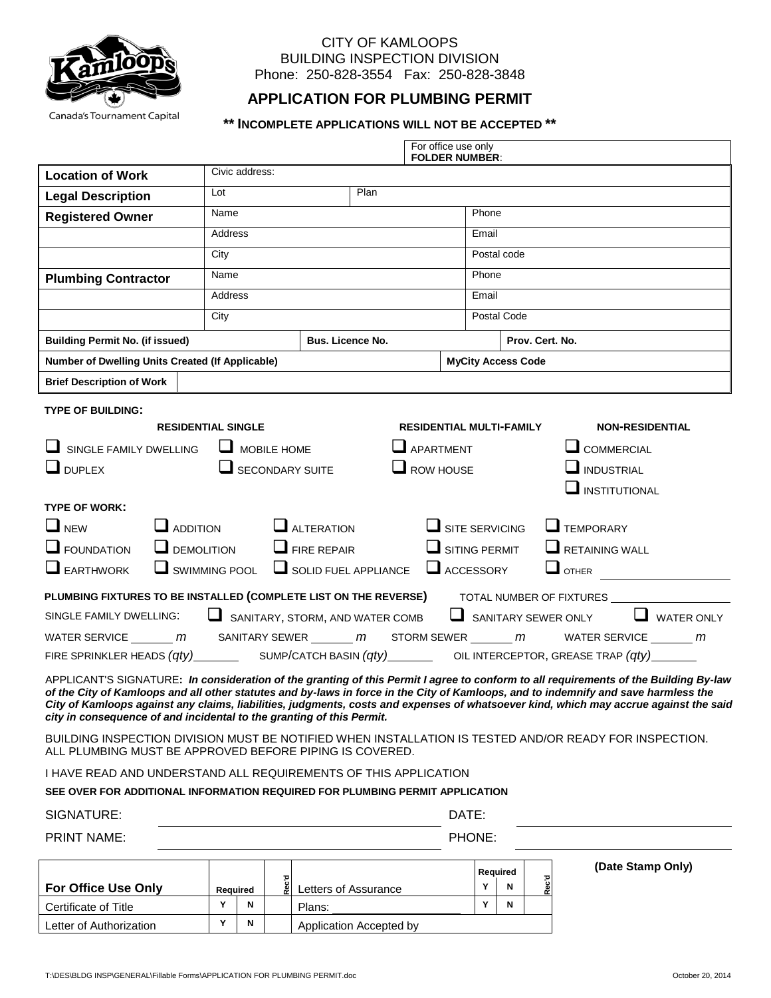

## CITY OF KAMLOOPS BUILDING INSPECTION DIVISION Phone: 250-828-3554 Fax: 250-828-3848

## **APPLICATION FOR PLUMBING PERMIT**

## **\*\* INCOMPLETE APPLICATIONS WILL NOT BE ACCEPTED \*\***

|                                                                                                                                                                   | For office use only<br><b>FOLDER NUMBER:</b> |                    |                         |                                                                   |      |  |                             |             |                 |  |                                                                                                                                                                                                                                                                              |  |  |  |  |  |
|-------------------------------------------------------------------------------------------------------------------------------------------------------------------|----------------------------------------------|--------------------|-------------------------|-------------------------------------------------------------------|------|--|-----------------------------|-------------|-----------------|--|------------------------------------------------------------------------------------------------------------------------------------------------------------------------------------------------------------------------------------------------------------------------------|--|--|--|--|--|
| <b>Location of Work</b>                                                                                                                                           | Civic address:                               |                    |                         |                                                                   |      |  |                             |             |                 |  |                                                                                                                                                                                                                                                                              |  |  |  |  |  |
| <b>Legal Description</b>                                                                                                                                          | Lot                                          |                    |                         |                                                                   | Plan |  |                             |             |                 |  |                                                                                                                                                                                                                                                                              |  |  |  |  |  |
| <b>Registered Owner</b>                                                                                                                                           | Name                                         |                    |                         |                                                                   |      |  |                             | Phone       |                 |  |                                                                                                                                                                                                                                                                              |  |  |  |  |  |
|                                                                                                                                                                   | Address                                      |                    |                         |                                                                   |      |  |                             | Email       |                 |  |                                                                                                                                                                                                                                                                              |  |  |  |  |  |
|                                                                                                                                                                   | City                                         |                    |                         |                                                                   |      |  |                             | Postal code |                 |  |                                                                                                                                                                                                                                                                              |  |  |  |  |  |
| <b>Plumbing Contractor</b>                                                                                                                                        | Name                                         |                    |                         |                                                                   |      |  |                             | Phone       |                 |  |                                                                                                                                                                                                                                                                              |  |  |  |  |  |
|                                                                                                                                                                   | Address                                      |                    |                         |                                                                   |      |  |                             | Email       |                 |  |                                                                                                                                                                                                                                                                              |  |  |  |  |  |
|                                                                                                                                                                   | City                                         |                    |                         |                                                                   |      |  |                             | Postal Code |                 |  |                                                                                                                                                                                                                                                                              |  |  |  |  |  |
| <b>Building Permit No. (if issued)</b>                                                                                                                            | <b>Bus. Licence No.</b>                      |                    |                         |                                                                   |      |  |                             |             | Prov. Cert. No. |  |                                                                                                                                                                                                                                                                              |  |  |  |  |  |
| Number of Dwelling Units Created (If Applicable)                                                                                                                  |                                              |                    |                         |                                                                   |      |  | <b>MyCity Access Code</b>   |             |                 |  |                                                                                                                                                                                                                                                                              |  |  |  |  |  |
| <b>Brief Description of Work</b>                                                                                                                                  |                                              |                    |                         |                                                                   |      |  |                             |             |                 |  |                                                                                                                                                                                                                                                                              |  |  |  |  |  |
| <b>TYPE OF BUILDING:</b>                                                                                                                                          |                                              |                    |                         |                                                                   |      |  |                             |             |                 |  |                                                                                                                                                                                                                                                                              |  |  |  |  |  |
| <b>RESIDENTIAL SINGLE</b><br><b>RESIDENTIAL MULTI-FAMILY</b><br><b>NON-RESIDENTIAL</b>                                                                            |                                              |                    |                         |                                                                   |      |  |                             |             |                 |  |                                                                                                                                                                                                                                                                              |  |  |  |  |  |
| SINGLE FAMILY DWELLING                                                                                                                                            |                                              | $\Box$ MOBILE HOME | $\Box$ APARTMENT        | $\Box$ COMMERCIAL                                                 |      |  |                             |             |                 |  |                                                                                                                                                                                                                                                                              |  |  |  |  |  |
| $\Box$ DUPLEX                                                                                                                                                     | $\Box$ SECONDARY SUITE                       | $\Box$ ROW HOUSE   | <b>NEXAL</b> INDUSTRIAL |                                                                   |      |  |                             |             |                 |  |                                                                                                                                                                                                                                                                              |  |  |  |  |  |
| INSTITUTIONAL                                                                                                                                                     |                                              |                    |                         |                                                                   |      |  |                             |             |                 |  |                                                                                                                                                                                                                                                                              |  |  |  |  |  |
| <b>TYPE OF WORK:</b>                                                                                                                                              |                                              |                    |                         |                                                                   |      |  |                             |             |                 |  |                                                                                                                                                                                                                                                                              |  |  |  |  |  |
| $\square$ NEW<br>$\Box$ SITE SERVICING<br>$\Box$ TEMPORARY<br>$\Box$ ADDITION<br>$\Box$ ALTERATION                                                                |                                              |                    |                         |                                                                   |      |  |                             |             |                 |  |                                                                                                                                                                                                                                                                              |  |  |  |  |  |
| $\Box$ FOUNDATION<br>$\Box$ SITING PERMIT<br>$\Box$ RETAINING WALL<br><b>L</b> DEMOLITION<br>$\Box$ FIRE REPAIR                                                   |                                              |                    |                         |                                                                   |      |  |                             |             |                 |  |                                                                                                                                                                                                                                                                              |  |  |  |  |  |
| $\Box$ EARTHWORK                                                                                                                                                  |                                              |                    |                         | $\Box$ SWIMMING POOL $\Box$ SOLID FUEL APPLIANCE $\Box$ ACCESSORY |      |  |                             |             |                 |  | $\Box$ OTHER                                                                                                                                                                                                                                                                 |  |  |  |  |  |
| PLUMBING FIXTURES TO BE INSTALLED (COMPLETE LIST ON THE REVERSE)                                                                                                  |                                              |                    |                         |                                                                   |      |  |                             |             |                 |  | TOTAL NUMBER OF FIXTURES _______                                                                                                                                                                                                                                             |  |  |  |  |  |
| SINGLE FAMILY DWELLING:                                                                                                                                           |                                              |                    |                         | SANITARY, STORM, AND WATER COMB                                   |      |  |                             |             |                 |  | $\Box$ WATER ONLY<br>SANITARY SEWER ONLY                                                                                                                                                                                                                                     |  |  |  |  |  |
| WATER SERVICE _______ m SANITARY SEWER _______ m STORM SEWER _______ m WATER SERVICE _______ m                                                                    |                                              |                    |                         |                                                                   |      |  |                             |             |                 |  |                                                                                                                                                                                                                                                                              |  |  |  |  |  |
|                                                                                                                                                                   |                                              |                    |                         |                                                                   |      |  |                             |             |                 |  |                                                                                                                                                                                                                                                                              |  |  |  |  |  |
|                                                                                                                                                                   |                                              |                    |                         |                                                                   |      |  |                             |             |                 |  | APPLICANT'S SIGNATURE: In consideration of the granting of this Permit I agree to conform to all requirements of the Building By-law                                                                                                                                         |  |  |  |  |  |
|                                                                                                                                                                   |                                              |                    |                         |                                                                   |      |  |                             |             |                 |  | of the City of Kamloops and all other statutes and by-laws in force in the City of Kamloops, and to indemnify and save harmless the<br>City of Kamloops against any claims, liabilities, judgments, costs and expenses of whatsoever kind, which may accrue against the said |  |  |  |  |  |
| city in consequence of and incidental to the granting of this Permit.                                                                                             |                                              |                    |                         |                                                                   |      |  |                             |             |                 |  |                                                                                                                                                                                                                                                                              |  |  |  |  |  |
| BUILDING INSPECTION DIVISION MUST BE NOTIFIED WHEN INSTALLATION IS TESTED AND/OR READY FOR INSPECTION.<br>ALL PLUMBING MUST BE APPROVED BEFORE PIPING IS COVERED. |                                              |                    |                         |                                                                   |      |  |                             |             |                 |  |                                                                                                                                                                                                                                                                              |  |  |  |  |  |
| I HAVE READ AND UNDERSTAND ALL REQUIREMENTS OF THIS APPLICATION                                                                                                   |                                              |                    |                         |                                                                   |      |  |                             |             |                 |  |                                                                                                                                                                                                                                                                              |  |  |  |  |  |
| SEE OVER FOR ADDITIONAL INFORMATION REQUIRED FOR PLUMBING PERMIT APPLICATION                                                                                      |                                              |                    |                         |                                                                   |      |  |                             |             |                 |  |                                                                                                                                                                                                                                                                              |  |  |  |  |  |
| SIGNATURE:                                                                                                                                                        |                                              |                    |                         |                                                                   |      |  | DATE:                       |             |                 |  |                                                                                                                                                                                                                                                                              |  |  |  |  |  |
| <b>PRINT NAME:</b>                                                                                                                                                |                                              |                    |                         |                                                                   |      |  | PHONE:                      |             |                 |  |                                                                                                                                                                                                                                                                              |  |  |  |  |  |
|                                                                                                                                                                   |                                              |                    |                         |                                                                   |      |  |                             |             |                 |  | (Date Stamp Only)                                                                                                                                                                                                                                                            |  |  |  |  |  |
| For Office Use Only                                                                                                                                               | Pec.<br>Letters of Assurance<br>Required     |                    |                         |                                                                   |      |  | Required<br>Rec'd<br>Y<br>N |             |                 |  |                                                                                                                                                                                                                                                                              |  |  |  |  |  |
| Certificate of Title                                                                                                                                              | Y<br>N<br>Plans:                             |                    |                         |                                                                   |      |  |                             |             | N               |  |                                                                                                                                                                                                                                                                              |  |  |  |  |  |
| Letter of Authorization                                                                                                                                           | Υ<br>N<br>Application Accepted by            |                    |                         |                                                                   |      |  |                             |             |                 |  |                                                                                                                                                                                                                                                                              |  |  |  |  |  |